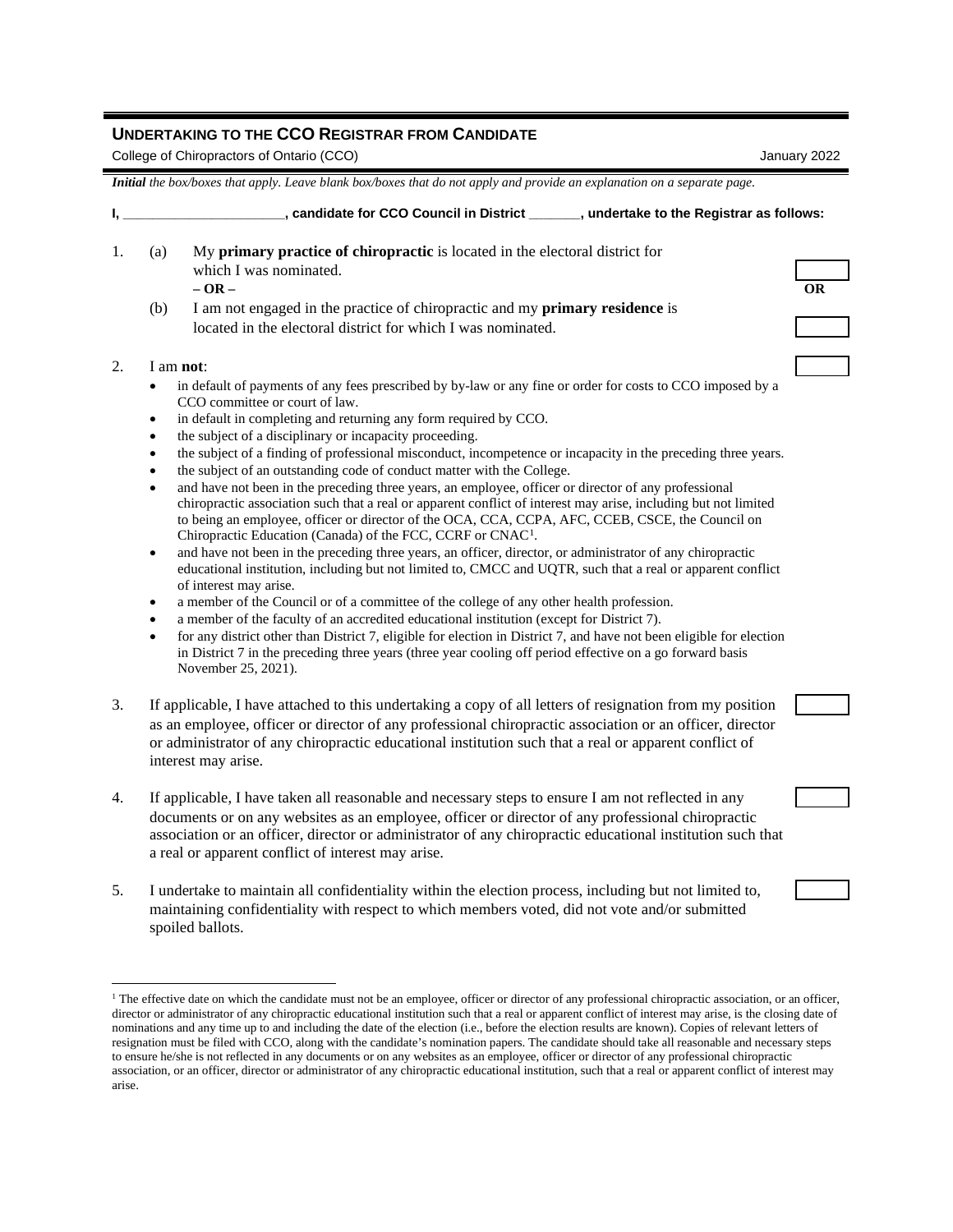## **UNDERTAKING TO THE CCO REGISTRAR FROM CANDIDATE**

College of Chiropractors of Ontario (CCO) January 2022

*Initial the box/boxes that apply. Leave blank box/boxes that do not apply and provide an explanation on a separate page.*

|     | candidate for CCO Council in District<br>undertake to the Registrar as follows:     |    |
|-----|-------------------------------------------------------------------------------------|----|
| (a) | My primary practice of chiropractic is located in the electoral district for        |    |
|     | which I was nominated.                                                              |    |
|     | $-OR-$                                                                              | ОR |
| (b) | I am not engaged in the practice of chiropractic and my <b>primary residence</b> is |    |
|     | located in the electoral district for which I was nominated.                        |    |
|     |                                                                                     |    |
|     | am not <sup>.</sup>                                                                 |    |

- in default of payments of any fees prescribed by by-law or any fine or order for costs to CCO imposed by a CCO committee or court of law.
- in default in completing and returning any form required by CCO.
- the subject of a disciplinary or incapacity proceeding.
- the subject of a finding of professional misconduct, incompetence or incapacity in the preceding three years.
- the subject of an outstanding code of conduct matter with the College.
- and have not been in the preceding three years, an employee, officer or director of any professional chiropractic association such that a real or apparent conflict of interest may arise, including but not limited to being an employee, officer or director of the OCA, CCA, CCPA, AFC, CCEB, CSCE, the Council on Chiropractic Education (Canada) of the FCC, CCRF or CNAC[1](#page-0-0).
- and have not been in the preceding three years, an officer, director, or administrator of any chiropractic educational institution, including but not limited to, CMCC and UQTR, such that a real or apparent conflict of interest may arise.
- a member of the Council or of a committee of the college of any other health profession.
- a member of the faculty of an accredited educational institution (except for District 7).
- for any district other than District 7, eligible for election in District 7, and have not been eligible for election in District 7 in the preceding three years (three year cooling off period effective on a go forward basis November 25, 2021).
- 3. If applicable, I have attached to this undertaking a copy of all letters of resignation from my position as an employee, officer or director of any professional chiropractic association or an officer, director or administrator of any chiropractic educational institution such that a real or apparent conflict of interest may arise.
- 4. If applicable, I have taken all reasonable and necessary steps to ensure I am not reflected in any documents or on any websites as an employee, officer or director of any professional chiropractic association or an officer, director or administrator of any chiropractic educational institution such that a real or apparent conflict of interest may arise.
- 5. I undertake to maintain all confidentiality within the election process, including but not limited to, maintaining confidentiality with respect to which members voted, did not vote and/or submitted spoiled ballots.

<span id="page-0-0"></span> $1$  The effective date on which the candidate must not be an employee, officer or director of any professional chiropractic association, or an officer, director or administrator of any chiropractic educational institution such that a real or apparent conflict of interest may arise, is the closing date of nominations and any time up to and including the date of the election (i.e., before the election results are known). Copies of relevant letters of resignation must be filed with CCO, along with the candidate's nomination papers. The candidate should take all reasonable and necessary steps to ensure he/she is not reflected in any documents or on any websites as an employee, officer or director of any professional chiropractic association, or an officer, director or administrator of any chiropractic educational institution, such that a real or apparent conflict of interest may arise.